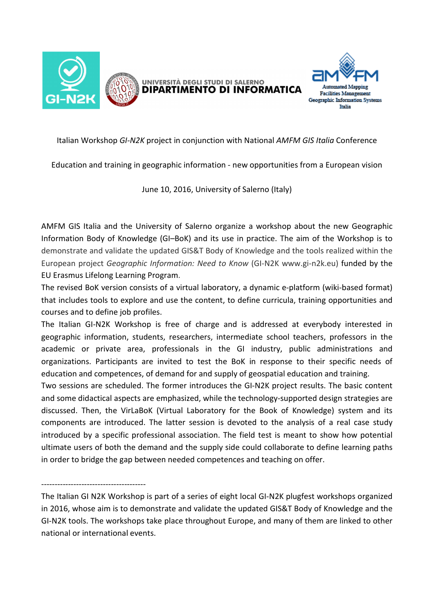



Italian Workshop *GI-N2K* project in conjunction with National *AMFM GIS Italia* Conference

Education and training in geographic information - new opportunities from a European vision

June 10, 2016, University of Salerno (Italy)

AMFM GIS Italia and the University of Salerno organize a workshop about the new Geographic Information Body of Knowledge (GI–BoK) and its use in practice. The aim of the Workshop is to demonstrate and validate the updated GIS&T Body of Knowledge and the tools realized within the European project *Geographic Information: Need to Know* (GI-N2K www.gi-n2k.eu) funded by the EU Erasmus Lifelong Learning Program.

The revised BoK version consists of a virtual laboratory, a dynamic e-platform (wiki-based format) that includes tools to explore and use the content, to define curricula, training opportunities and courses and to define job profiles.

The Italian GI-N2K Workshop is free of charge and is addressed at everybody interested in geographic information, students, researchers, intermediate school teachers, professors in the academic or private area, professionals in the GI industry, public administrations and organizations. Participants are invited to test the BoK in response to their specific needs of education and competences, of demand for and supply of geospatial education and training.

Two sessions are scheduled. The former introduces the GI-N2K project results. The basic content and some didactical aspects are emphasized, while the technology-supported design strategies are discussed. Then, the VirLaBoK (Virtual Laboratory for the Book of Knowledge) system and its components are introduced. The latter session is devoted to the analysis of a real case study introduced by a specific professional association. The field test is meant to show how potential ultimate users of both the demand and the supply side could collaborate to define learning paths in order to bridge the gap between needed competences and teaching on offer.

---------------------------------------

The Italian GI N2K Workshop is part of a series of eight local GI-N2K plugfest workshops organized in 2016, whose aim is to demonstrate and validate the updated GIS&T Body of Knowledge and the GI-N2K tools. The workshops take place throughout Europe, and many of them are linked to other national or international events.